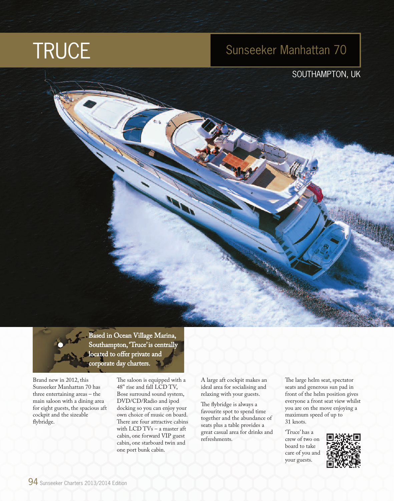# **TRUCE**

# Sunseeker Manhattan 70

# SOUTHAMPTON, UK

Based in Ocean Village Marina, Southampton, 'Truce' is centrally located to offer private and corporate day charters.

Brand new in 2012, this Sunseeker Manhattan 70 has three entertaining areas – the main saloon with a dining area for eight guests, the spacious aft cockpit and the sizeable flybridge.

The saloon is equipped with a 48" rise and fall LCD TV, Bose surround sound system, DVD/CD/Radio and ipod docking so you can enjoy your own choice of music on board. There are four attractive cabins with LCD TVs – a master aft cabin, one forward VIP guest cabin, one starboard twin and one port bunk cabin.

A large aft cockpit makes an ideal area for socialising and relaxing with your guests.

The flybridge is always a favourite spot to spend time together and the abundance of seats plus a table provides a great casual area for drinks and refreshments.

The large helm seat, spectator seats and generous sun pad in front of the helm position gives everyone a front seat view whilst you are on the move enjoying a maximum speed of up to 31 knots.

'Truce' has a crew of two on board to take care of you and your guests.